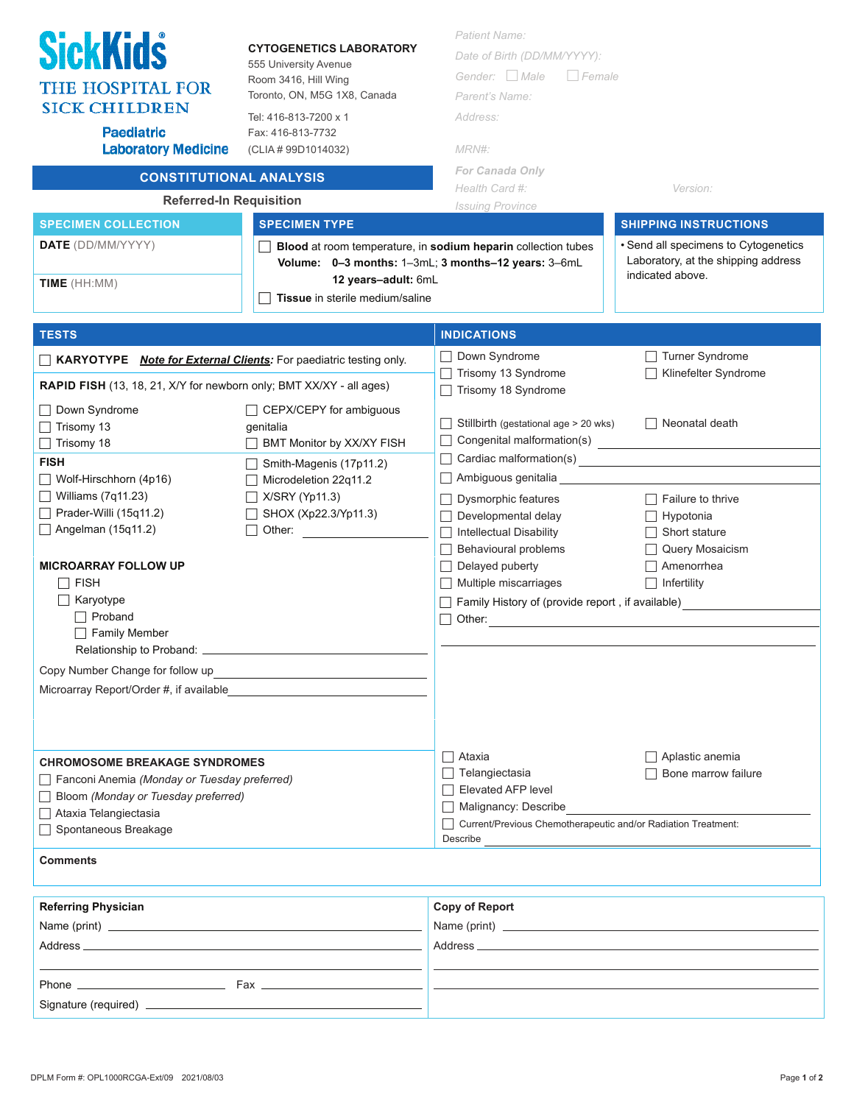| <b>SickKids</b><br><b>CYTOGENETICS LABORATORY</b><br>555 University Avenue<br>Room 3416, Hill Wing<br><b>THE HOSPITAL FOR</b><br>Toronto, ON, M5G 1X8, Canada<br><b>SICK CHILDREN</b><br>Tel: 416-813-7200 x 1<br><b>Paediatric</b><br>Fax: 416-813-7732<br><b>Laboratory Medicine</b><br>(CLIA # 99D1014032)<br><b>CONSTITUTIONAL ANALYSIS</b><br><b>Referred-In Requisition</b><br><b>SPECIMEN COLLECTION</b><br><b>SPECIMEN TYPE</b><br><b>DATE</b> (DD/MM/YYYY)<br>12 years-adult: 6mL<br>TIME (HH:MM)<br>Tissue in sterile medium/saline |                                                                                                                                                                                                               | <b>Patient Name:</b><br>Date of Birth (DD/MM/YYYY):<br>Gender: $\Box$ Male<br>Female<br>Parent's Name:<br>Address:<br>MRN#:<br><b>For Canada Only</b><br>Health Card #:<br>Version:<br><b>Issuing Province</b><br><b>SHIPPING INSTRUCTIONS</b><br>• Send all specimens to Cytogenetics<br>Blood at room temperature, in sodium heparin collection tubes<br>Laboratory, at the shipping address<br>Volume: 0-3 months: 1-3mL; 3 months-12 years: 3-6mL<br>indicated above. |                                                                                                                                                                            |
|-----------------------------------------------------------------------------------------------------------------------------------------------------------------------------------------------------------------------------------------------------------------------------------------------------------------------------------------------------------------------------------------------------------------------------------------------------------------------------------------------------------------------------------------------|---------------------------------------------------------------------------------------------------------------------------------------------------------------------------------------------------------------|---------------------------------------------------------------------------------------------------------------------------------------------------------------------------------------------------------------------------------------------------------------------------------------------------------------------------------------------------------------------------------------------------------------------------------------------------------------------------|----------------------------------------------------------------------------------------------------------------------------------------------------------------------------|
| <b>TESTS</b>                                                                                                                                                                                                                                                                                                                                                                                                                                                                                                                                  |                                                                                                                                                                                                               | <b>INDICATIONS</b>                                                                                                                                                                                                                                                                                                                                                                                                                                                        |                                                                                                                                                                            |
| <b>KARYOTYPE Note for External Clients:</b> For paediatric testing only.<br>RAPID FISH (13, 18, 21, X/Y for newborn only; BMT XX/XY - all ages)<br>Down Syndrome<br>$\Box$ Trisomy 13<br>Trisomy 18<br><b>FISH</b><br>$\Box$ Wolf-Hirschhorn (4p16)<br>$\Box$ Williams (7q11.23)<br>$\Box$ Prader-Willi (15q11.2)<br>$\Box$ Angelman (15q11.2)<br><b>MICROARRAY FOLLOW UP</b><br>$\sqcap$ Fish<br>Karyotype<br>$\Box$ Proband<br><b>Family Member</b><br>Copy Number Change for follow up<br>Microarray Report/Order #, if available          | □ CEPX/CEPY for ambiguous<br>genitalia<br>BMT Monitor by XX/XY FISH<br>Smith-Magenis (17p11.2)<br>Microdeletion 22q11.2<br>$\Box$ X/SRY (Yp11.3)<br>□ SHOX (Xp22.3/Yp11.3)<br>□ Other: <u>_______________</u> | Down Syndrome<br>Trisomy 13 Syndrome<br>Trisomy 18 Syndrome<br>Stillbirth (gestational age > 20 wks)<br>Congenital malformation(s)<br><u> </u><br>Ambiguous genitalia<br>Dysmorphic features<br>Developmental delay<br>Intellectual Disability<br>Behavioural problems<br>Delayed puberty<br>Multiple miscarriages<br>Family History of (provide report, if available)<br>Other:                                                                                          | Turner Syndrome<br>Klinefelter Syndrome<br>Neonatal death<br>$\Box$ Failure to thrive<br>Hypotonia<br>Short stature<br>Query Mosaicism<br>Amenorrhea<br>$\Box$ Infertility |
| <b>CHROMOSOME BREAKAGE SYNDROMES</b><br>Fanconi Anemia (Monday or Tuesday preferred)<br>Bloom (Monday or Tuesday preferred)<br>□ Ataxia Telangiectasia<br>□ Spontaneous Breakage<br><b>Comments</b><br><b>Referring Physician</b>                                                                                                                                                                                                                                                                                                             |                                                                                                                                                                                                               | ∏ Ataxia<br>$\Box$ Telangiectasia<br>□ Elevated AFP level<br>□ Malignancy: Describe<br>Current/Previous Chemotherapeutic and/or Radiation Treatment:<br>Describe<br><b>Copy of Report</b><br><u> 1980 - Andrea State Barbara, amerikan personal di sebagai personal di sebagai personal di sebagai personal di</u>                                                                                                                                                        | Aplastic anemia<br>Bone marrow failure                                                                                                                                     |